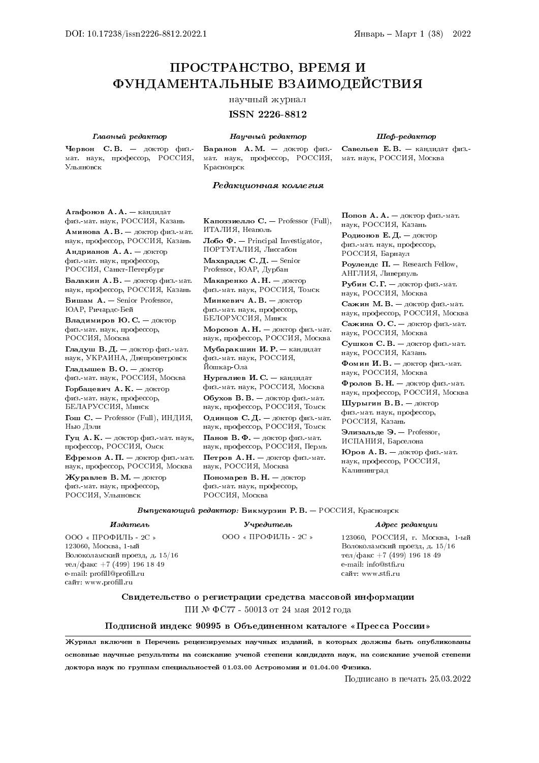Шеф-редактор Савельев Е. В. — кандидат физ. мат. наук, РОССИЯ, Москва

# ПРОСТРАНСТВО, ВРЕМЯ И ФУНДАМЕНТАЛЬНЫЕ ВЗАИМОДЕЙСТВИЯ

# научный журнал

# ISSN 2226-8812

Научный редактор

#### Главный редактор

Червон С. В. — доктор физ. мат. наук, профессор, РОССИЯ, Ульяновск

Баранов А. М. — доктор физ. мат. наук, профессор, РОССИЯ, Красноярск

### Редакционная коллегия

Агафонов А. А. — кандидат физ.-мат. наук, РОССИЯ, Казань Аминова А. В. — доктор физ.-мат. наук, профессор, РОССИЯ, Казань Андрианов А. А. — доктор физ.-мат. наук, профессор, РОССИЯ, Санкт-Петербург Балакин А. Б. — доктор физ.-мат. наук, профессор, РОССИЯ, Казань Бишам А. — Senior Professor, ЮАР, Ричардс-Бей Владимиров Ю. С. — доктор физ.-мат. наук, профессор, РОССИЯ, Москва Гладуш В. Д. — доктор физ.-мат. наук, УКРАИНА, Днепропетровск Гладышев В. О. — доктор физ.-мат. наук, РОССИЯ, Москва Горбацевич А. К. — доктор физ.-мат. наук, профессор, БЕЛАРУССИЯ, Минск Гош С.  $-$  Professor (Full), ИНДИЯ, Нью Дэли Гуц А. К. - доктор физ.-мат. наук, профессор, РОССИЯ, Омск Ефремов А. П. — доктор физ.-мат. наук, профессор, РОССИЯ, Москва Журавлев В. М. — доктор физ.-мат. наук, профессор, РОССИЯ, Ульяновск

Капоззиелло  $C.$  — Professor (Full), ИТАЛИЯ, Неаполь Лобо Ф. — Principal Investigator, ПОРТУГАЛИЯ, Лиссабон Махарадж С. Д.  $-$  Senior Professor, ЮАР, Дурбан Макаренко А. Н. — доктор физ.-мат. наук, РОССИЯ, Томск

Минкевич А. В. — доктор физ.-мат. наук, профессор, БЕЛОРУССИЯ, Минск

Морозов А. Н. - доктор физ.-мат. наук, профессор, РОССИЯ, Москва Мубаракшин И. Р. — кандидат физ.-мат. наук, РОССИЯ, Йошкар-Ола

Нургалиев И. С. — кандидат физ.-мат. наук, РОССИЯ, Москва Обухов В. В. — доктор физ.-мат. наук, профессор, РОССИЯ, Томск Одинцов С. Д. — доктор физ.-мат. наук, профессор, РОССИЯ, Томск Панов В. Ф. — доктор физ.-мат. наук, профессор, РОССИЯ, Пермь Петров А. Н. — доктор физ.-мат. наук, РОССИЯ, Москва Пономарев В. Н. — доктор физ.-мат. наук, профессор, РОССИЯ, Москва

Попов А. А. — доктор физ.-мат. наук, РОССИЯ, Казань Родионов Е. Д. — доктор физ.-мат. наук, профессор, РОССИЯ, Барнаул

Роулендс  $\Pi$ . — Research Fellow, АНГЛИЯ, Ливерпуль

Рубин С. Г. — доктор физ.-мат. наук, РОССИЯ, Москва

Сажин М. В. — доктор физ.-мат. наук, профессор, РОССИЯ, Москва

Сажина О. С.  $-$  доктор физ. мат. наук, РОССИЯ, Москва

Сушков С. В. — доктор физ.-мат. наук, РОССИЯ, Казань

Фомин И. В.  $-$  доктор физ. мат. наук, РОССИЯ, Москва

Фролов Б. Н. — доктор физ.-мат. наук, профессор, РОССИЯ, Москва

Шурыгин В. В. — доктор физ.-мат. наук, профессор, РОССИЯ, Казань

Элизальде Э. — Professor, ИСПАНИЯ, Барселона

**Юров А. В.**  $-$  доктор физ.-мат. наук, профессор, РОССИЯ, Калининград

#### Выпускающий редактор: Бикмурзин Р. В. — РОССИЯ, Красноярск

### Издатель

ООО « ПРОФИЛЬ - 2С » 123060, Москва, 1-ый Волоколамский проезд, д. 15/16 тел/факс +7 (499) 196 18 49 e-mail: profill@profill.ru сайт: www.profill.ru

Учредитель

ООО « ПРОФИЛЬ - 2С »

## Адрес редакции

123060, РОССИЯ, г. Москва, 1-ый Волоколамский проезд, д. 15/16 тел/факс +7 (499) 196 18 49 e-mail: info@stfi.ru сайт: www.stfi.ru

Свидетельство о регистрации средства массовой информации ПИ № ФС77 - 50013 от 24 мая 2012 года

# Подписной индекс 90995 в Объединенном каталоге «Пресса России»

Журнал включен в Перечень рецензируемых научных изданий, в которых должны быть опубликованы основные научные результаты на соискание ученой степени кандидата наук, на соискание ученой степени доктора наук по группам специальностей 01.03.00 Астрономия и 01.04.00 Физика.

Подписано в печать 25.03.2022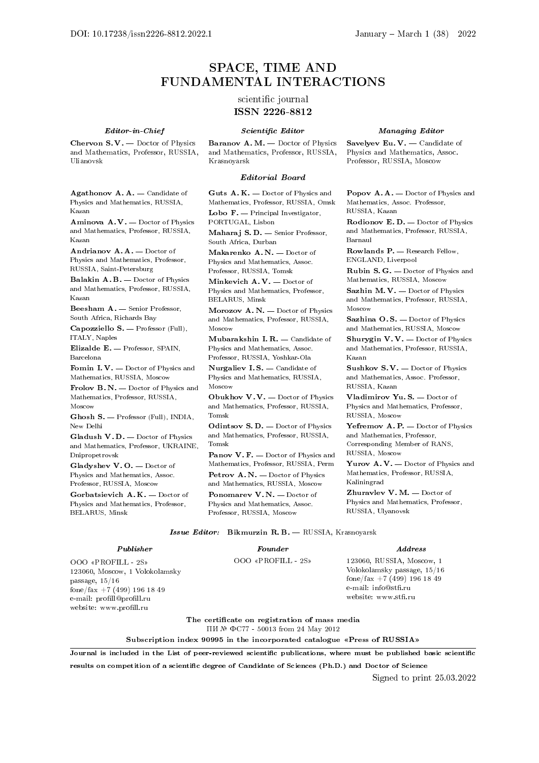# SPACE, TIME AND FUNDAMENTAL INTERACTIONS

# scientific journal ISSN 2226-8812

#### Editor-in-Chief

Chervon S. V. — Doctor of Physics and Mathematics, Professor, RUSSIA, Ulianovsk

Agathonov A. A. — Candidate of Physics and Mathematics, RUSSIA, Kazan

Aminova  $A \cdot V =$  Doctor of Physics and Mathematics, Professor, RUSSIA, Kazan

Andrianov A. A. — Doctor of Physics and Mathematics, Professor, RUSSIA, Saint-Petersburg

Balakin A.B. - Doctor of Physics and Mathematics, Professor, RUSSIA, Kazan

Beesham A. — Senior Professor, South Africa, Richards Bay

Capozziello S. — Professor (Full), ITALY, Naples

Elizalde E. — Professor, SPAIN, Barcelona

Fomin I. V. - Doctor of Physics and Mathematics, RUSSIA, Moscow

Frolov B.N. - Doctor of Physics and Mathematics, Professor, RUSSIA, Moscow

Ghosh S. — Professor (Full), INDIA, New Delhi

Gladush V. D. — Doctor of Physics and Mathematics, Professor, UKRAINE, Dnipropetrovsk

Gladyshev V. O. — Doctor of Physics and Mathematics, Assoc. Professor, RUSSIA, Moscow

Gorbatsievich A. K. — Doctor of Physics and Mathematics, Professor, BELARUS, Minsk

website: www.profill.ru

#### Scientific Editor

Baranov A. M. — Doctor of Physics and Mathematics, Professor, RUSSIA, Krasnoyarsk

#### Editorial Board

Guts A. K. — Doctor of Physics and Mathematics, Professor, RUSSIA, Omsk

Lobo  $\mathbf{F}$ . — Principal Investigator, PORTUGAL, Lisbon

Maharaj S. D. — Senior Professor, South Africa, Durban

Makarenko A. N. — Doctor of Physics and Mathematics, Assoc. Professor, RUSSIA, Tomsk

Minkevich A. V. — Doctor of Physics and Mathematics, Professor, BELARUS, Minsk

Morozov A. N. — Doctor of Physics and Mathematics, Professor, RUSSIA, Moscow

Mubarakshin I. R. — Candidate of Physics and Mathematics, Assoc. Professor, RUSSIA, Yoshkar-Ola

Nurgaliev I.S. - Candidate of Physics and Mathematics, RUSSIA, Moscow

Obukhov V. V. — Doctor of Physics and Mathematics, Professor, RUSSIA, Tomsk

Odintsov S. D. — Doctor of Physics and Mathematics, Professor, RUSSIA, Tomsk

Panov V. F. - Doctor of Physics and Mathematics, Professor, RUSSIA, Perm Petrov A.N. - Doctor of Physics

and Mathematics, RUSSIA, Moscow Ponomarev V. N. — Doctor of Physics and Mathematics, Assoc. Professor, RUSSIA, Moscow

### Managing Editor

Savelyev Eu. V. - Candidate of Physics and Mathematics, Assoc. Professor, RUSSIA, Moscow

Popov A.A. — Doctor of Physics and Mathematics, Assoc. Professor, RUSSIA, Kazan

Rodionov E. D. — Doctor of Physics and Mathematics, Professor, RUSSIA, Barnaul

Rowlands P. — Research Fellow, ENGLAND, Liverpool

Rubin S. G. — Doctor of Physics and Mathematics, RUSSIA, Moscow

Sazhin M. V. - Doctor of Physics and Mathematics, Professor, RUSSIA, Moscow

Sazhina O.S. - Doctor of Physics and Mathematics, RUSSIA, Moscow

Shurygin V. V. — Doctor of Physics and Mathematics, Professor, RUSSIA, Kazan

Sushkov S. V. — Doctor of Physics and Mathematics, Assoc. Professor, RUSSIA, Kazan

Vladimirov Yu. S. — Doctor of Physics and Mathematics, Professor, RUSSIA, Moscow

Yefremov A. P. - Doctor of Physics and Mathematics, Professor, Corresponding Member of RANS, RUSSIA, Moscow

Yurov A. V. — Doctor of Physics and Mathematics, Professor, RUSSIA, Kaliningrad

Zhuravlev V.M. - Doctor of Physics and Mathematics, Professor, RUSSIA, Ulyanovsk

Issue Editor: Bikmurzin R. B. — RUSSIA, Krasnoyarsk

#### Publisher OOO «PROFILL - 2S» 123060, Moscow, 1 Volokolamsky passage, 15/16 fone/fax +7 (499) 196 18 49 e-mail: profill@profill.ru Founder OOO «PROFILL - 2S» Address 123060, RUSSIA, Moscow, 1 Volokolamsky passage, 15/16 fone/fax +7 (499) 196 18 49 e-mail: info@stfi.ru website: www.stfi.ru

The certificate on registration of mass media ПИ № ФС77 - 50013 from 24 May 2012

Subscription index 90995 in the incorporated catalogue «Press of RUSSIA»

Journal is included in the List of peer-reviewed scientific publications, where must be published basic scientific results on competition of a scientific degree of Candidate of Sciences (Ph.D.) and Doctor of Science

Signed to print 25.03.2022